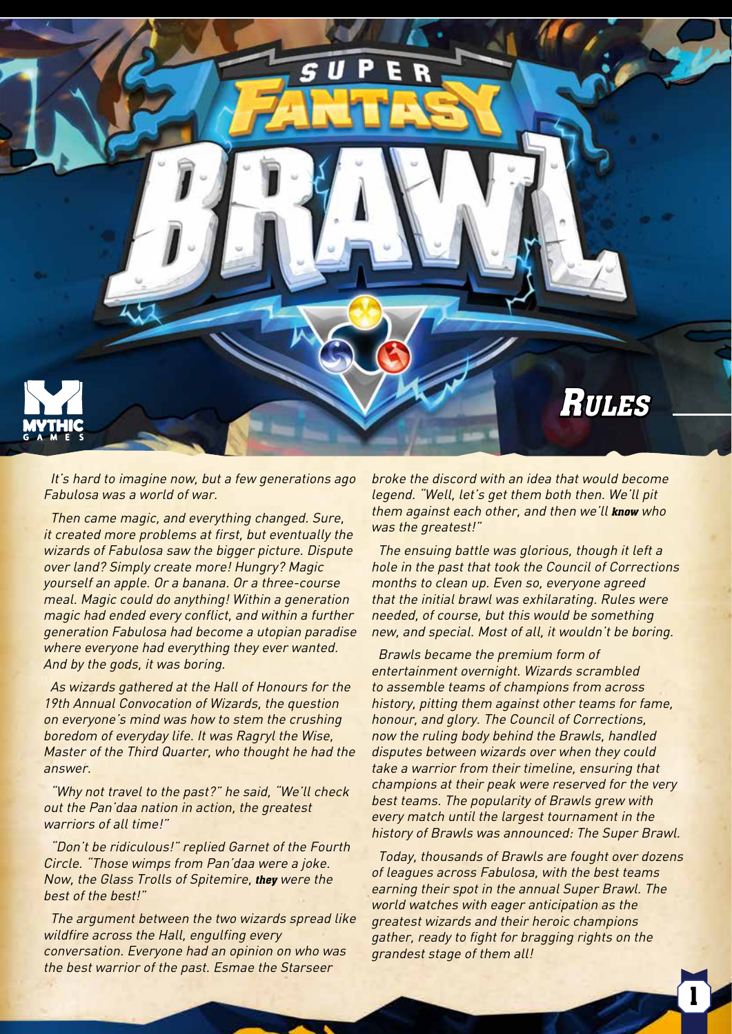

It's hard to imagine now, but a few generations ago Fabulosa was a world of war.

Then came magic, and everything changed. Sure, it created more problems at first, but eventually the wizards of Fabulosa saw the bigger picture. Dispute over land? Simply create more! Hungry? Magic yourself an apple. Or a banana. Or a three-course meal. Magic could do anything! Within a generation magic had ended every conflict, and within a further generation Fabulosa had become a utopian paradise where everyone had everything they ever wanted. And by the gods, it was boring.

As wizards gathered at the Hall of Honours for the 19th Annual Convocation of Wizards, the question on everyone's mind was how to stem the crushing boredom of everyday life. It was Ragryl the Wise, Master of the Third Quarter, who thought he had the answer.

"Why not travel to the past?" he said, "We'll check out the Pan'daa nation in action, the greatest warriors of all time!"

"Don't be ridiculous!" replied Garnet of the Fourth Circle. "Those wimps from Pan'daa were a joke. Now, the Glass Trolls of Spitemire, **they** were the best of the best!"

The argument between the two wizards spread like wildfire across the Hall, engulfing every conversation. Everyone had an opinion on who was the best warrior of the past. Esmae the Starseer

broke the discord with an idea that would become legend. "Well, let's get them both then. We'll pit them against each other, and then we'll **know** who was the greatest!"

The ensuing battle was glorious, though it left a hole in the past that took the Council of Corrections months to clean up. Even so, everyone agreed that the initial brawl was exhilarating. Rules were needed, of course, but this would be something new, and special. Most of all, it wouldn't be boring.

Brawls became the premium form of entertainment overnight. Wizards scrambled to assemble teams of champions from across history, pitting them against other teams for fame, honour, and glory. The Council of Corrections, now the ruling body behind the Brawls, handled disputes between wizards over when they could take a warrior from their timeline, ensuring that champions at their peak were reserved for the very best teams. The popularity of Brawls grew with every match until the largest tournament in the history of Brawls was announced: The Super Brawl.

Today, thousands of Brawls are fought over dozens of leagues across Fabulosa, with the best teams earning their spot in the annual Super Brawl. The world watches with eager anticipation as the greatest wizards and their heroic champions gather, ready to fight for bragging rights on the grandest stage of them all!

1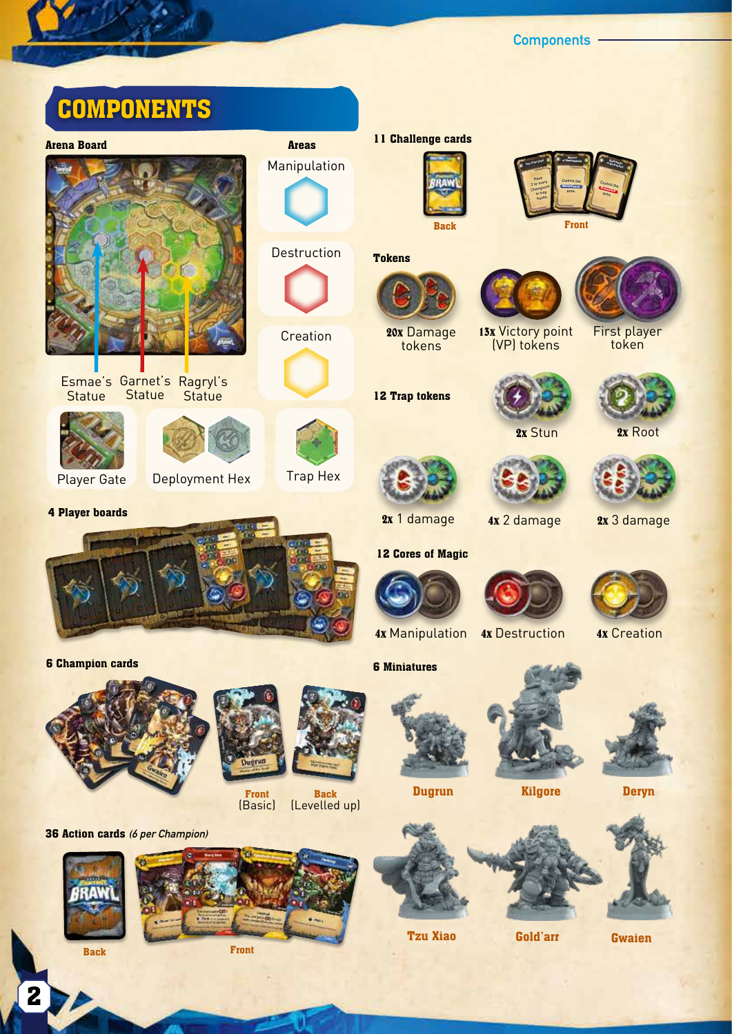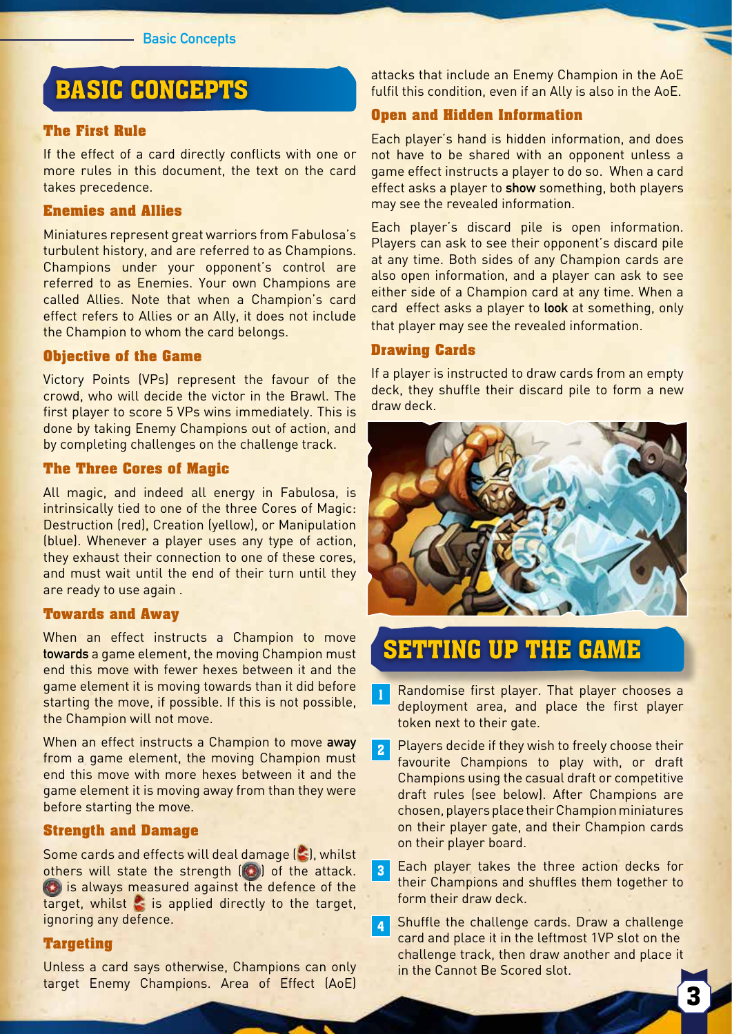## BASIC CONCEPTS

#### **The First Rule**

If the effect of a card directly conflicts with one or more rules in this document, the text on the card takes precedence.

### **Enemies and Allies**

Miniatures represent great warriors from Fabulosa's turbulent history, and are referred to as Champions. Champions under your opponent's control are referred to as Enemies. Your own Champions are called Allies. Note that when a Champion's card effect refers to Allies or an Ally, it does not include the Champion to whom the card belongs.

### **Objective of the Game**

Victory Points (VPs) represent the favour of the crowd, who will decide the victor in the Brawl. The first player to score 5 VPs wins immediately. This is done by taking Enemy Champions out of action, and by completing challenges on the challenge track.

#### **The Three Cores of Magic**

All magic, and indeed all energy in Fabulosa, is intrinsically tied to one of the three Cores of Magic: Destruction (red), Creation (yellow), or Manipulation (blue). Whenever a player uses any type of action, they exhaust their connection to one of these cores, and must wait until the end of their turn until they are ready to use again .

#### **Towards and Away**

When an effect instructs a Champion to move **towards** a game element, the moving Champion must end this move with fewer hexes between it and the game element it is moving towards than it did before starting the move, if possible. If this is not possible, the Champion will not move.

When an effect instructs a Champion to move **away** from a game element, the moving Champion must end this move with more hexes between it and the game element it is moving away from than they were before starting the move.

#### **Strength and Damage**

Some cards and effects will deal damage  $(\leq)$ , whilst others will state the strength  $\left(\begin{matrix} 0 \\ 0 \end{matrix}\right)$  of the attack. **(C)** is always measured against the defence of the target, whilst  $\leq$  is applied directly to the target, ignoring any defence.

#### **Targeting**

Unless a card says otherwise, Champions can only target Enemy Champions. Area of Effect (AoE) attacks that include an Enemy Champion in the AoE fulfil this condition, even if an Ally is also in the AoE.

### **Open and Hidden Information**

Each player's hand is hidden information, and does not have to be shared with an opponent unless a game effect instructs a player to do so. When a card effect asks a player to **show** something, both players may see the revealed information.

Each player's discard pile is open information. Players can ask to see their opponent's discard pile at any time. Both sides of any Champion cards are also open information, and a player can ask to see either side of a Champion card at any time. When a card effect asks a player to **look** at something, only that player may see the revealed information.

#### **Drawing Cards**

If a player is instructed to draw cards from an empty deck, they shuffle their discard pile to form a new draw deck.



## SETTING UP THE GAME

- Randomise first player. That player chooses a deployment area, and place the first player token next to their gate.
- 2 Players decide if they wish to freely choose their favourite Champions to play with, or draft Champions using the casual draft or competitive draft rules (see below). After Champions are chosen, players place their Champion miniatures on their player gate, and their Champion cards on their player board.
- 3 Each player takes the three action decks for their Champions and shuffles them together to form their draw deck.
- 4 Shuffle the challenge cards. Draw a challenge card and place it in the leftmost 1VP slot on the challenge track, then draw another and place it in the Cannot Be Scored slot.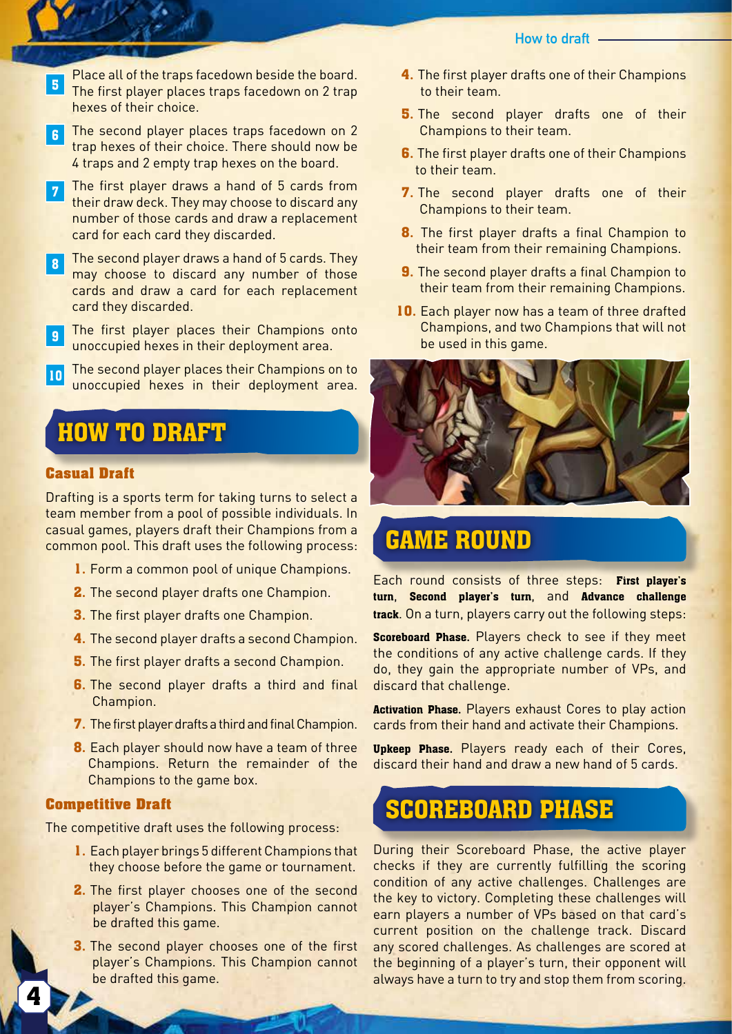- Place all of the traps facedown beside the board.<br>The first player places traps facedown on 2 trap hexes of their choice.
- 6 The second player places traps facedown on 2 trap hexes of their choice. There should now be 4 traps and 2 empty trap hexes on the board.
- 7 The first player draws a hand of 5 cards from their draw deck. They may choose to discard any number of those cards and draw a replacement card for each card they discarded.
- 8 The second player draws a hand of 5 cards. They may choose to discard any number of those cards and draw a card for each replacement card they discarded.
- **9** The first player places their Champions onto unoccupied hexes in their deployment area.
- **10** The second player places their Champions on to unoccupied hexes in their deployment area.

## HOW TO DRAFT

### **Casual Draft**

ì

Drafting is a sports term for taking turns to select a team member from a pool of possible individuals. In casual games, players draft their Champions from a common pool. This draft uses the following process:

- **1.** Form a common pool of unique Champions.
- **2.** The second player drafts one Champion.
- **3.** The first player drafts one Champion.
- **4.** The second player drafts a second Champion.
- **5.** The first player drafts a second Champion.
- **6.** The second player drafts a third and final Champion.
- **7.** The first player drafts a third and final Champion.
- **8.** Each player should now have a team of three Champions. Return the remainder of the Champions to the game box.

#### **Competitive Draft**

The competitive draft uses the following process:

- **1.** Each player brings 5 different Champions that they choose before the game or tournament.
- **2.** The first player chooses one of the second player's Champions. This Champion cannot be drafted this game.
- **3.** The second player chooses one of the first player's Champions. This Champion cannot be drafted this game.
- **4.** The first player drafts one of their Champions to their team.
- **5.** The second player drafts one of their Champions to their team.
- **6.** The first player drafts one of their Champions to their team.
- **7.** The second player drafts one of their Champions to their team.
- **8.** The first player drafts a final Champion to their team from their remaining Champions.
- **9.** The second player drafts a final Champion to their team from their remaining Champions.
- **10.** Each player now has a team of three drafted Champions, and two Champions that will not be used in this game.



# GAME ROUND

Each round consists of three steps: **First player's turn**, **Second player's turn**, and **Advance challenge track**. On a turn, players carry out the following steps:

**Scoreboard Phase.** Players check to see if they meet the conditions of any active challenge cards. If they do, they gain the appropriate number of VPs, and discard that challenge.

**Activation Phase.** Players exhaust Cores to play action cards from their hand and activate their Champions.

**Upkeep Phase.** Players ready each of their Cores, discard their hand and draw a new hand of 5 cards.

## SCOREBOARD PHASE

During their Scoreboard Phase, the active player checks if they are currently fulfilling the scoring condition of any active challenges. Challenges are the key to victory. Completing these challenges will earn players a number of VPs based on that card's current position on the challenge track. Discard any scored challenges. As challenges are scored at the beginning of a player's turn, their opponent will always have a turn to try and stop them from scoring.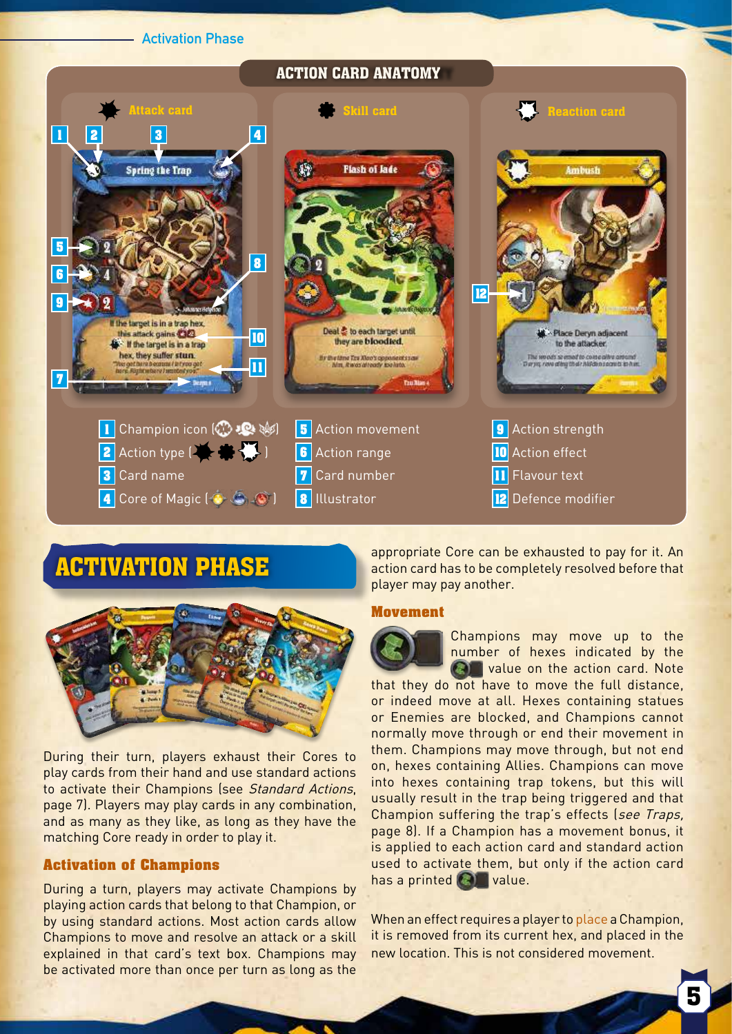#### **Activation Phase**

#### ACTION CARD ANATOMY



## ACTIVATION PHASE



During their turn, players exhaust their Cores to play cards from their hand and use standard actions to activate their Champions (see Standard Actions, page 7). Players may play cards in any combination, and as many as they like, as long as they have the matching Core ready in order to play it.

### **Activation of Champions**

During a turn, players may activate Champions by playing action cards that belong to that Champion, or by using standard actions. Most action cards allow Champions to move and resolve an attack or a skill explained in that card's text box. Champions may be activated more than once per turn as long as the

appropriate Core can be exhausted to pay for it. An action card has to be completely resolved before that player may pay another.

#### **Movement**



Champions may move up to the number of hexes indicated by the **Calle** value on the action card. Note

that they do not have to move the full distance, or indeed move at all. Hexes containing statues or Enemies are blocked, and Champions cannot normally move through or end their movement in them. Champions may move through, but not end on, hexes containing Allies. Champions can move into hexes containing trap tokens, but this will usually result in the trap being triggered and that Champion suffering the trap's effects (see Traps, page 8). If a Champion has a movement bonus, it is applied to each action card and standard action used to activate them, but only if the action card has a printed  $\bigcirc$  value.

When an effect requires a player to place a Champion, it is removed from its current hex, and placed in the new location. This is not considered movement.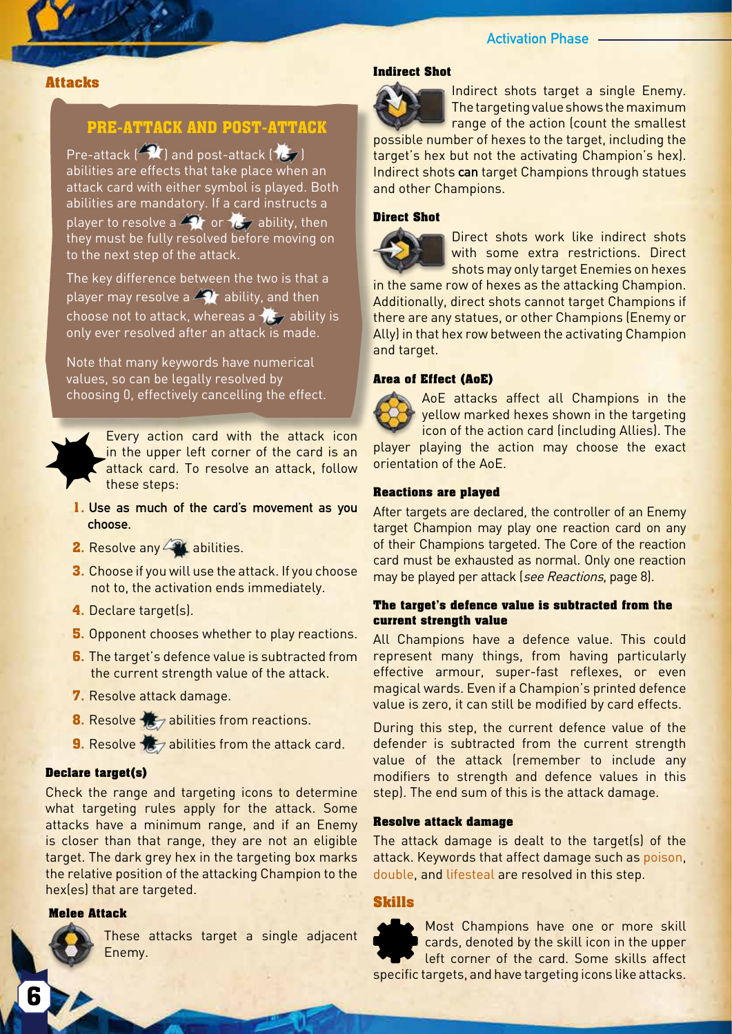### **Activation Phase**

#### I **Attacks**

### **PRE-ATTACK AND POST-ATTACK**

Pre-attack  $\left(\sqrt{2}$  ) and post-attack  $\left(\sqrt{2}$ ) abilities are effects that take place when an attack card with either symbol is played. Both abilities are mandatory. If a card instructs a player to resolve a  $\triangle$  or  $\mathcal{L}_{\mathcal{F}}$  ability, then they must be fully resolved before moving on to the next step of the attack.

The key difference between the two is that a player may resolve a  $\bigotimes$  ability, and then choose not to attack, whereas a  $\sqrt{2}$  ability is only ever resolved after an attack is made.

Note that many keywords have numerical values, so can be legally resolved by choosing 0, effectively cancelling the effect.

> Every action card with the attack icon in the upper left corner of the card is an attack card. To resolve an attack, follow these steps:

- **1. Use as much of the card's movement as you choose.**
- **2.** Resolve any **2.** abilities.
- **3.** Choose if you will use the attack. If you choose not to, the activation ends immediately.
- **4.** Declare target(s).
- **5.** Opponent chooses whether to play reactions.
- **6.** The target's defence value is subtracted from the current strength value of the attack.
- **7.** Resolve attack damage.
- **8.** Resolve **18** abilities from reactions.
- **9.** Resolve  $\frac{1}{2}$  abilities from the attack card.

#### **Declare target(s)**

Check the range and targeting icons to determine what targeting rules apply for the attack. Some attacks have a minimum range, and if an Enemy is closer than that range, they are not an eligible target. The dark grey hex in the targeting box marks the relative position of the attacking Champion to the hex(es) that are targeted.

#### **Melee Attack**

These attacks target a single adjacent Enemy.

#### **Indirect Shot**



Indirect shots target a single Enemy. The targeting value shows the maximum range of the action (count the smallest

possible number of hexes to the target, including the target's hex but not the activating Champion's hex). Indirect shots **can** target Champions through statues and other Champions.

#### **Direct Shot**



Direct shots work like indirect shots with some extra restrictions. Direct shots may only target Enemies on hexes

in the same row of hexes as the attacking Champion. Additionally, direct shots cannot target Champions if there are any statues, or other Champions (Enemy or Ally) in that hex row between the activating Champion and target.

#### **Area of Effect (AoE)**

AoE attacks affect all Champions in the yellow marked hexes shown in the targeting icon of the action card (including Allies). The player playing the action may choose the exact orientation of the AoE.

#### **Reactions are played**

After targets are declared, the controller of an Enemy target Champion may play one reaction card on any of their Champions targeted. The Core of the reaction card must be exhausted as normal. Only one reaction may be played per attack (see Reactions, page 8).

#### **The target's defence value is subtracted from the current strength value**

All Champions have a defence value. This could represent many things, from having particularly effective armour, super-fast reflexes, or even magical wards. Even if a Champion's printed defence value is zero, it can still be modified by card effects.

During this step, the current defence value of the defender is subtracted from the current strength value of the attack (remember to include any modifiers to strength and defence values in this step). The end sum of this is the attack damage.

#### **Resolve attack damage**

The attack damage is dealt to the target(s) of the attack. Keywords that affect damage such as poison, double, and lifesteal are resolved in this step.

#### **Skills**

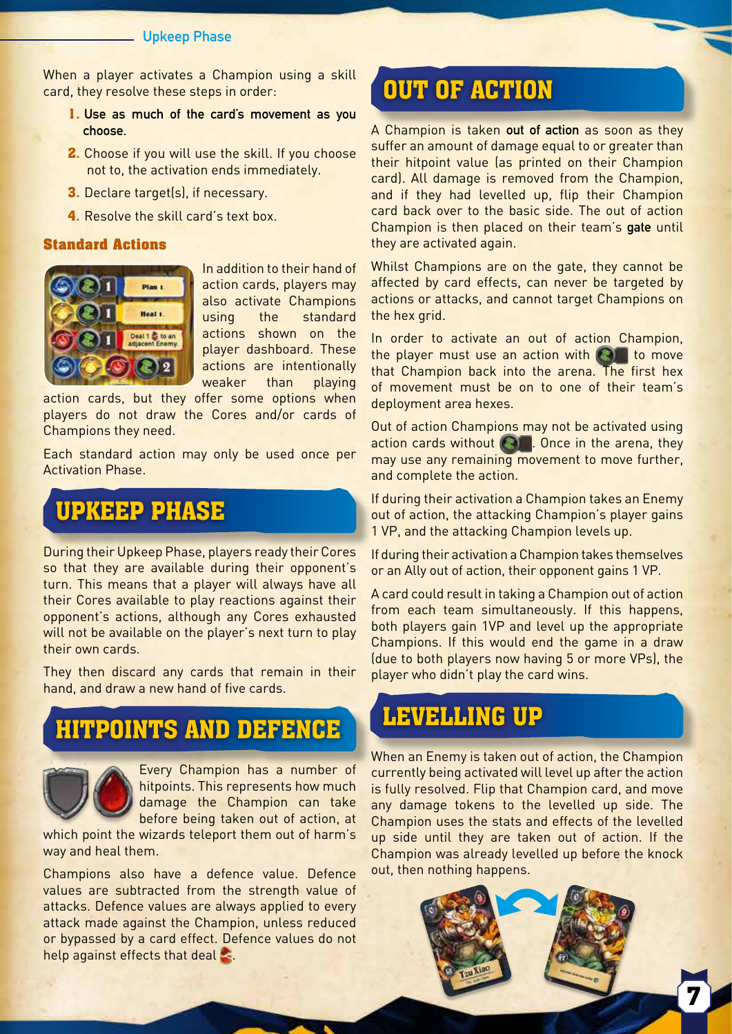#### **Upkeep Phase**

When a player activates a Champion using a skill card, they resolve these steps in order:

- **1. Use as much of the card's movement as you choose.**
- **2.** Choose if you will use the skill. If you choose not to, the activation ends immediately.
- **3.** Declare target(s), if necessary.
- **4.** Resolve the skill card's text box.

#### **Standard Actions**



In addition to their hand of action cards, players may also activate Champions using the standard actions shown on the player dashboard. These actions are intentionally weaker than playing

action cards, but they offer some options when players do not draw the Cores and/or cards of Champions they need.

Each standard action may only be used once per Activation Phase.

# UPKEEP PHASE

During their Upkeep Phase, players ready their Cores so that they are available during their opponent's turn. This means that a player will always have all their Cores available to play reactions against their opponent's actions, although any Cores exhausted will not be available on the player's next turn to play their own cards.

They then discard any cards that remain in their hand, and draw a new hand of five cards.

## HITPOINTS AND DEFENCE



Every Champion has a number of hitpoints. This represents how much damage the Champion can take before being taken out of action, at

which point the wizards teleport them out of harm's way and heal them.

Champions also have a defence value. Defence values are subtracted from the strength value of attacks. Defence values are always applied to every attack made against the Champion, unless reduced or bypassed by a card effect. Defence values do not help against effects that deal  $\mathbb{S}$ .

# OUT OF ACTION

A Champion is taken **out of action** as soon as they suffer an amount of damage equal to or greater than their hitpoint value (as printed on their Champion card). All damage is removed from the Champion, and if they had levelled up, flip their Champion card back over to the basic side. The out of action Champion is then placed on their team's **gate** until they are activated again.

Whilst Champions are on the gate, they cannot be affected by card effects, can never be targeted by actions or attacks, and cannot target Champions on the hex grid.

In order to activate an out of action Champion, the player must use an action with  $\left( \bigotimes \right)$  to move that Champion back into the arena. The first hex of movement must be on to one of their team's deployment area hexes.

Out of action Champions may not be activated using action cards without **. Once in the arena, they** may use any remaining movement to move further, and complete the action.

If during their activation a Champion takes an Enemy out of action, the attacking Champion's player gains 1 VP, and the attacking Champion levels up.

If during their activation a Champion takes themselves or an Ally out of action, their opponent gains 1 VP.

A card could result in taking a Champion out of action from each team simultaneously. If this happens, both players gain 1VP and level up the appropriate Champions. If this would end the game in a draw (due to both players now having 5 or more VPs), the player who didn't play the card wins.

## LEVELLING UP

When an Enemy is taken out of action, the Champion currently being activated will level up after the action is fully resolved. Flip that Champion card, and move any damage tokens to the levelled up side. The Champion uses the stats and effects of the levelled up side until they are taken out of action. If the Champion was already levelled up before the knock out, then nothing happens.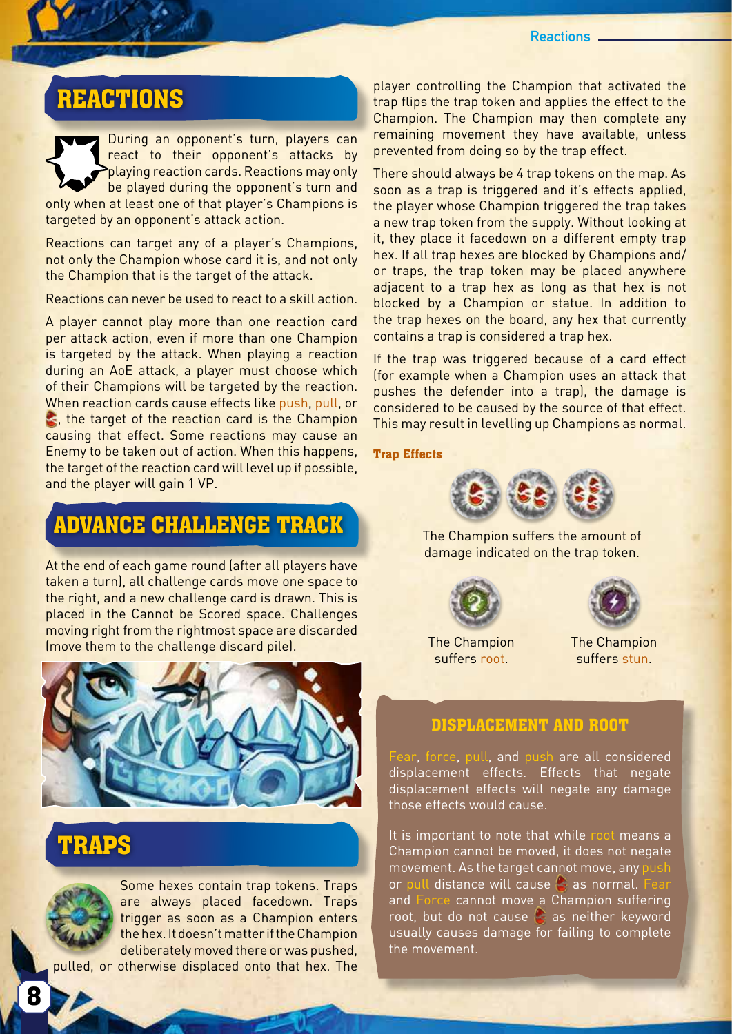**Reactions**

## REACTIONS

I

During an opponent's turn, players can react to their opponent's attacks by playing reaction cards. Reactions may only be played during the opponent's turn and only when at least one of that player's Champions is targeted by an opponent's attack action.

Reactions can target any of a player's Champions, not only the Champion whose card it is, and not only the Champion that is the target of the attack.

Reactions can never be used to react to a skill action.

A player cannot play more than one reaction card per attack action, even if more than one Champion is targeted by the attack. When playing a reaction during an AoE attack, a player must choose which of their Champions will be targeted by the reaction. When reaction cards cause effects like push, pull, or  $\leq$ , the target of the reaction card is the Champion causing that effect. Some reactions may cause an Enemy to be taken out of action. When this happens, the target of the reaction card will level up if possible, and the player will gain 1 VP.

## ADVANCE CHALLENGE TRACK

At the end of each game round (after all players have taken a turn), all challenge cards move one space to the right, and a new challenge card is drawn. This is placed in the Cannot be Scored space. Challenges moving right from the rightmost space are discarded (move them to the challenge discard pile).



## TRAPS



Some hexes contain trap tokens. Traps are always placed facedown. Traps trigger as soon as a Champion enters the hex. It doesn't matter if the Champion deliberately moved there or was pushed,

pulled, or otherwise displaced onto that hex. The

player controlling the Champion that activated the trap flips the trap token and applies the effect to the Champion. The Champion may then complete any remaining movement they have available, unless prevented from doing so by the trap effect.

There should always be 4 trap tokens on the map. As soon as a trap is triggered and it's effects applied, the player whose Champion triggered the trap takes a new trap token from the supply. Without looking at it, they place it facedown on a different empty trap hex. If all trap hexes are blocked by Champions and/ or traps, the trap token may be placed anywhere adjacent to a trap hex as long as that hex is not blocked by a Champion or statue. In addition to the trap hexes on the board, any hex that currently contains a trap is considered a trap hex.

If the trap was triggered because of a card effect (for example when a Champion uses an attack that pushes the defender into a trap), the damage is considered to be caused by the source of that effect. This may result in levelling up Champions as normal.

#### **Trap Effects**



The Champion suffers the amount of damage indicated on the trap token.



The Champion suffers root.



The Champion suffers stun.

### **DISPLACEMENT AND ROOT**

Fear, force, pull, and push are all considered displacement effects. Effects that negate displacement effects will negate any damage those effects would cause.

It is important to note that while root means a Champion cannot be moved, it does not negate movement. As the target cannot move, any pur or pull distance will cause  $\bullet$  as normal. and Force cannot move a Champion suffering root, but do not cause  $\bullet$  as neither keyword usually causes damage for failing to complete the movement.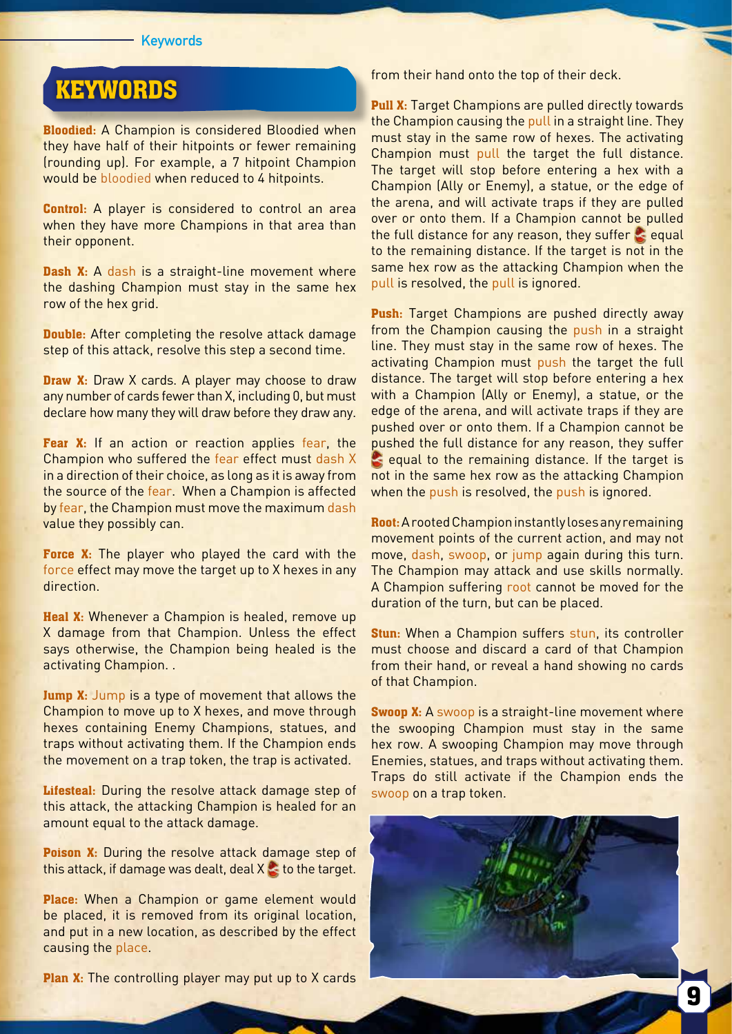#### **Keywords**

# **KEYWORDS**

**Bloodied:** A Champion is considered Bloodied when they have half of their hitpoints or fewer remaining (rounding up). For example, a 7 hitpoint Champion would be bloodied when reduced to 4 hitpoints.

**Control:** A player is considered to control an area when they have more Champions in that area than their opponent.

**Dash X:** A dash is a straight-line movement where the dashing Champion must stay in the same hex row of the hex grid.

**Double:** After completing the resolve attack damage step of this attack, resolve this step a second time.

**Draw X:** Draw X cards. A player may choose to draw any number of cards fewer than X, including 0, but must declare how many they will draw before they draw any.

**Fear X:** If an action or reaction applies fear, the Champion who suffered the fear effect must dash X in a direction of their choice, as long as it is away from the source of the fear. When a Champion is affected by fear, the Champion must move the maximum dash value they possibly can.

**Force X:** The player who played the card with the force effect may move the target up to X hexes in any direction.

**Heal X:** Whenever a Champion is healed, remove up X damage from that Champion. Unless the effect says otherwise, the Champion being healed is the activating Champion. .

**Jump X:** Jump is a type of movement that allows the Champion to move up to X hexes, and move through hexes containing Enemy Champions, statues, and traps without activating them. If the Champion ends the movement on a trap token, the trap is activated.

Lifesteal: During the resolve attack damage step of this attack, the attacking Champion is healed for an amount equal to the attack damage.

**Poison X:** During the resolve attack damage step of this attack, if damage was dealt, deal  $X \leq t$  to the target.

**Place:** When a Champion or game element would be placed, it is removed from its original location, and put in a new location, as described by the effect causing the place.

**Plan X:** The controlling player may put up to X cards

from their hand onto the top of their deck.

**Pull X:** Target Champions are pulled directly towards the Champion causing the pull in a straight line. They must stay in the same row of hexes. The activating Champion must pull the target the full distance. The target will stop before entering a hex with a Champion (Ally or Enemy), a statue, or the edge of the arena, and will activate traps if they are pulled over or onto them. If a Champion cannot be pulled the full distance for any reason, they suffer  $\leq$  equal to the remaining distance. If the target is not in the same hex row as the attacking Champion when the pull is resolved, the pull is ignored.

**Push:** Target Champions are pushed directly away from the Champion causing the push in a straight line. They must stay in the same row of hexes. The activating Champion must push the target the full distance. The target will stop before entering a hex with a Champion (Ally or Enemy), a statue, or the edge of the arena, and will activate traps if they are pushed over or onto them. If a Champion cannot be pushed the full distance for any reason, they suffer equal to the remaining distance. If the target is not in the same hex row as the attacking Champion when the push is resolved, the push is ignored.

**Root:** A rooted Champion instantly loses any remaining movement points of the current action, and may not move, dash, swoop, or jump again during this turn. The Champion may attack and use skills normally. A Champion suffering root cannot be moved for the duration of the turn, but can be placed.

**Stun:** When a Champion suffers stun, its controller must choose and discard a card of that Champion from their hand, or reveal a hand showing no cards of that Champion.

**Swoop X:** A swoop is a straight-line movement where the swooping Champion must stay in the same hex row. A swooping Champion may move through Enemies, statues, and traps without activating them. Traps do still activate if the Champion ends the swoop on a trap token.

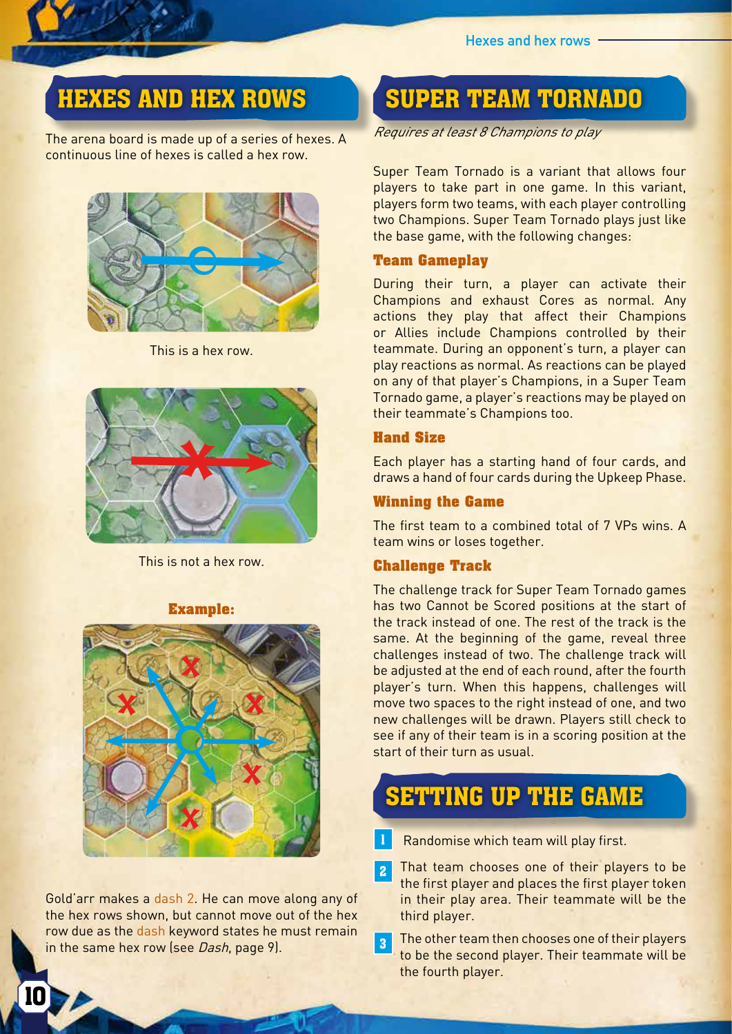# HEXES AND HEX ROWS

I

The arena board is made up of a series of hexes. A continuous line of hexes is called a hex row.



This is a hex row.



This is not a hex row.

### **Example:**



Gold'arr makes a dash 2. He can move along any of the hex rows shown, but cannot move out of the hex row due as the dash keyword states he must remain in the same hex row (see Dash, page 9).

## SUPER TEAM TORNADO

Requires at least 8 Champions to play

Super Team Tornado is a variant that allows four players to take part in one game. In this variant, players form two teams, with each player controlling two Champions. Super Team Tornado plays just like the base game, with the following changes:

### **Team Gameplay**

During their turn, a player can activate their Champions and exhaust Cores as normal. Any actions they play that affect their Champions or Allies include Champions controlled by their teammate. During an opponent's turn, a player can play reactions as normal. As reactions can be played on any of that player's Champions, in a Super Team Tornado game, a player's reactions may be played on their teammate's Champions too.

### **Hand Size**

Each player has a starting hand of four cards, and draws a hand of four cards during the Upkeep Phase.

### **Winning the Game**

The first team to a combined total of 7 VPs wins. A team wins or loses together.

### **Challenge Track**

The challenge track for Super Team Tornado games has two Cannot be Scored positions at the start of the track instead of one. The rest of the track is the same. At the beginning of the game, reveal three challenges instead of two. The challenge track will be adjusted at the end of each round, after the fourth player's turn. When this happens, challenges will move two spaces to the right instead of one, and two new challenges will be drawn. Players still check to see if any of their team is in a scoring position at the start of their turn as usual.

## SETTING UP THE GAME

Randomise which team will play first.

2 That team chooses one of their players to be the first player and places the first player token in their play area. Their teammate will be the third player.

**3** The other team then chooses one of their players to be the second player. Their teammate will be the fourth player.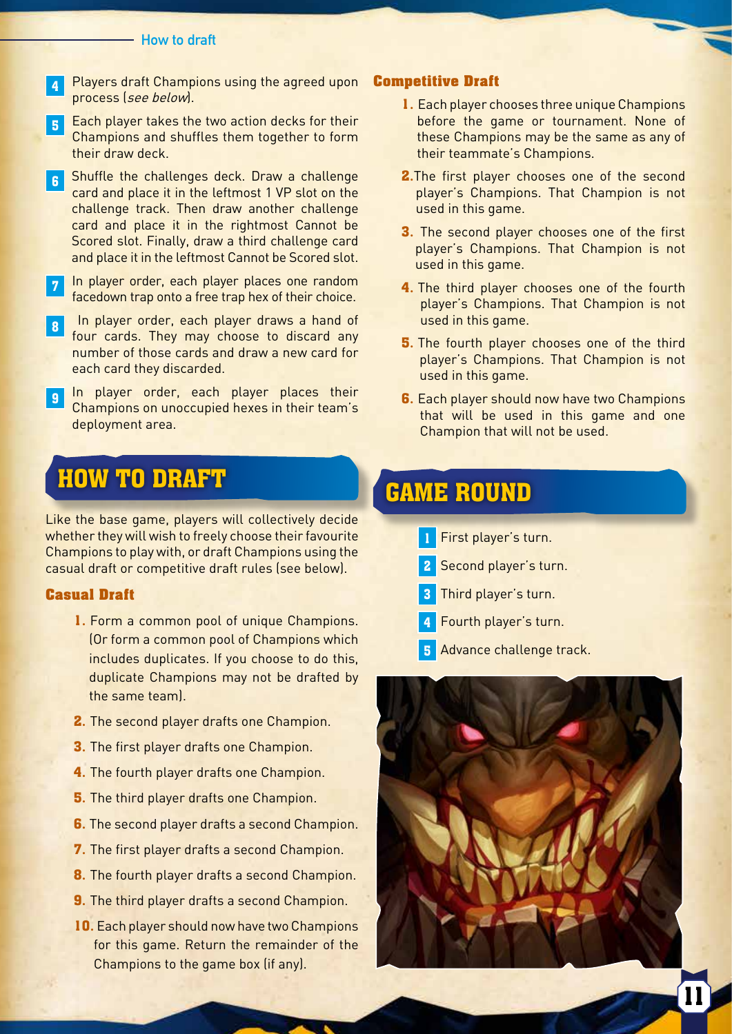#### **How to draft**

- 4 Players draft Champions using the agreed upon process (see below).
- 5 Each player takes the two action decks for their Champions and shuffles them together to form their draw deck.
- 6 Shuffle the challenges deck. Draw a challenge card and place it in the leftmost 1 VP slot on the challenge track. Then draw another challenge card and place it in the rightmost Cannot be Scored slot. Finally, draw a third challenge card and place it in the leftmost Cannot be Scored slot.
- 7 In player order, each player places one random facedown trap onto a free trap hex of their choice.
- 8 In player order, each player draws a hand of four cards. They may choose to discard any number of those cards and draw a new card for each card they discarded.
- **9** In player order, each player places their Champions on unoccupied hexes in their team's deployment area.

## HOW TO DRAFT

Like the base game, players will collectively decide whether they will wish to freely choose their favourite Champions to play with, or draft Champions using the casual draft or competitive draft rules (see below).

### **Casual Draft**

- **1.** Form a common pool of unique Champions. (Or form a common pool of Champions which includes duplicates. If you choose to do this, duplicate Champions may not be drafted by the same team).
- **2.** The second player drafts one Champion.
- **3.** The first player drafts one Champion.
- **4.** The fourth player drafts one Champion.
- **5.** The third player drafts one Champion.
- **6.** The second player drafts a second Champion.
- **7.** The first player drafts a second Champion.
- **8.** The fourth player drafts a second Champion.
- **9.** The third player drafts a second Champion.
- **10.** Each player should now have two Champions for this game. Return the remainder of the Champions to the game box (if any).

#### **Competitive Draft**

- **1.** Each player chooses three unique Champions before the game or tournament. None of these Champions may be the same as any of their teammate's Champions.
- **2.**The first player chooses one of the second player's Champions. That Champion is not used in this game.
- **3.** The second player chooses one of the first player's Champions. That Champion is not used in this game.
- **4.** The third player chooses one of the fourth player's Champions. That Champion is not used in this game.
- **5.** The fourth player chooses one of the third player's Champions. That Champion is not used in this game.
- **6.** Each player should now have two Champions that will be used in this game and one Champion that will not be used.

# GAME ROUND

- 1 First player's turn.
- 2 Second player's turn.
- 3 Third player's turn.
- 4 Fourth player's turn.
- **5** Advance challenge track.